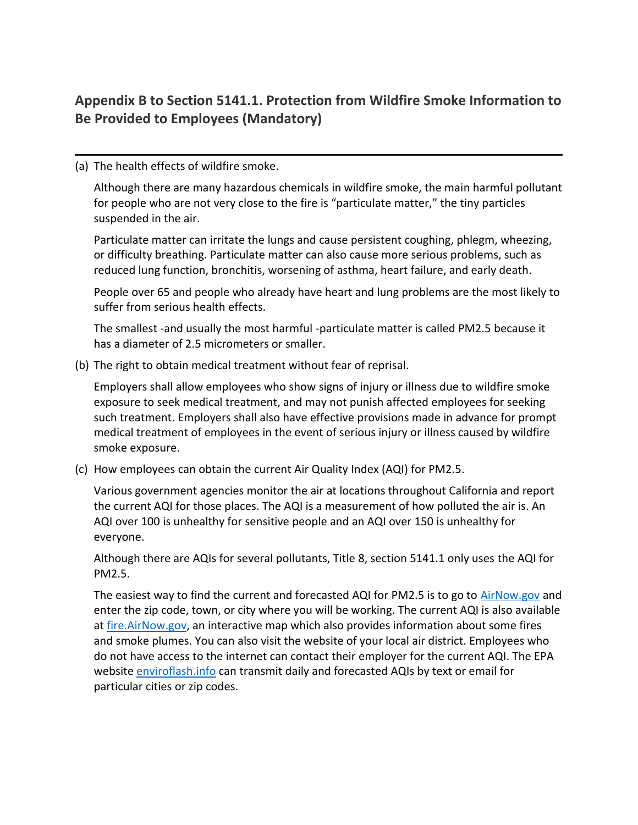## **Appendix B to Section 5141.1. Protection from Wildfire Smoke Information to Be Provided to Employees (Mandatory)**

## (a) The health effects of wildfire smoke.

Although there are many hazardous chemicals in wildfire smoke, the main harmful pollutant for people who are not very close to the fire is "particulate matter," the tiny particles suspended in the air.

Particulate matter can irritate the lungs and cause persistent coughing, phlegm, wheezing, or difficulty breathing. Particulate matter can also cause more serious problems, such as reduced lung function, bronchitis, worsening of asthma, heart failure, and early death.

People over 65 and people who already have heart and lung problems are the most likely to suffer from serious health effects.

The smallest -and usually the most harmful -particulate matter is called PM2.5 because it has a diameter of 2.5 micrometers or smaller.

(b) The right to obtain medical treatment without fear of reprisal.

Employers shall allow employees who show signs of injury or illness due to wildfire smoke exposure to seek medical treatment, and may not punish affected employees for seeking such treatment. Employers shall also have effective provisions made in advance for prompt medical treatment of employees in the event of serious injury or illness caused by wildfire smoke exposure.

(c) How employees can obtain the current Air Quality Index (AQI) for PM2.5.

Various government agencies monitor the air at locations throughout California and report the current AQI for those places. The AQI is a measurement of how polluted the air is. An AQI over 100 is unhealthy for sensitive people and an AQI over 150 is unhealthy for everyone.

Although there are AQIs for several pollutants, Title 8, section 5141.1 only uses the AQI for PM2.5.

The easiest way to find the current and forecasted AQI for PM2.5 is to go to [AirNow.gov](https://www.airnow.gov/) and enter the zip code, town, or city where you will be working. The current AQI is also available at [fire.AirNow.gov,](https://fire.airnow.gov/) an interactive map which also provides information about some fires and smoke plumes. You can also visit the website of your local air district. Employees who do not have access to the internet can contact their employer for the current AQI. The EPA website [enviroflash.info](http://www.enviroflash.info/) can transmit daily and forecasted AQIs by text or email for particular cities or zip codes.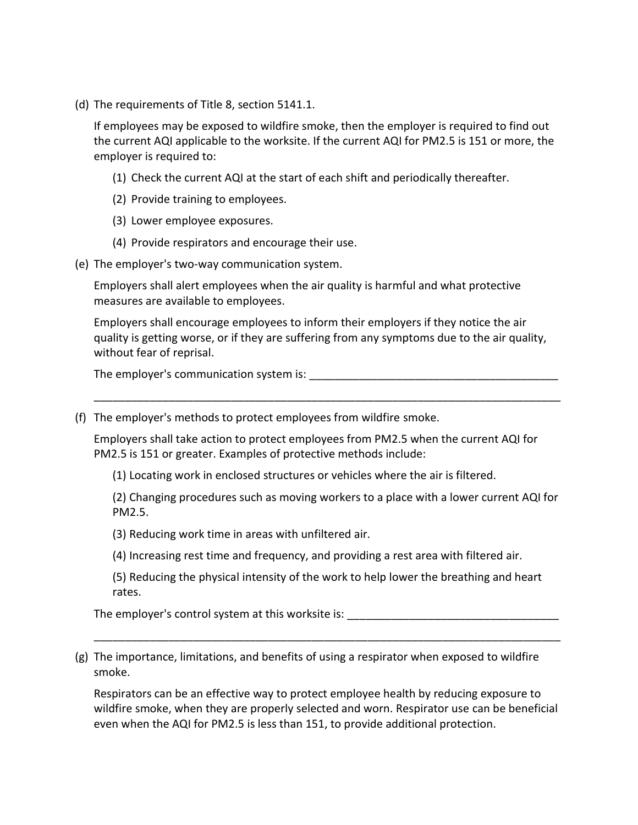(d) The requirements of Title 8, section 5141.1.

If employees may be exposed to wildfire smoke, then the employer is required to find out the current AQI applicable to the worksite. If the current AQI for PM2.5 is 151 or more, the employer is required to:

- (1) Check the current AQI at the start of each shift and periodically thereafter.
- (2) Provide training to employees.
- (3) Lower employee exposures.
- (4) Provide respirators and encourage their use.
- (e) The employer's two-way communication system.

Employers shall alert employees when the air quality is harmful and what protective measures are available to employees.

Employers shall encourage employees to inform their employers if they notice the air quality is getting worse, or if they are suffering from any symptoms due to the air quality, without fear of reprisal.

\_\_\_\_\_\_\_\_\_\_\_\_\_\_\_\_\_\_\_\_\_\_\_\_\_\_\_\_\_\_\_\_\_\_\_\_\_\_\_\_\_\_\_\_\_\_\_\_\_\_\_\_\_\_\_\_\_\_\_\_\_\_\_\_\_\_\_\_\_\_\_\_\_\_\_

The employer's communication system is: \_\_\_\_\_\_\_\_\_\_\_\_\_\_\_\_\_\_\_\_\_\_\_\_\_\_\_\_\_\_\_\_\_\_\_\_\_\_\_\_

(f) The employer's methods to protect employees from wildfire smoke.

Employers shall take action to protect employees from PM2.5 when the current AQI for PM2.5 is 151 or greater. Examples of protective methods include:

(1) Locating work in enclosed structures or vehicles where the air is filtered.

(2) Changing procedures such as moving workers to a place with a lower current AQI for PM2.5.

(3) Reducing work time in areas with unfiltered air.

(4) Increasing rest time and frequency, and providing a rest area with filtered air.

(5) Reducing the physical intensity of the work to help lower the breathing and heart rates.

\_\_\_\_\_\_\_\_\_\_\_\_\_\_\_\_\_\_\_\_\_\_\_\_\_\_\_\_\_\_\_\_\_\_\_\_\_\_\_\_\_\_\_\_\_\_\_\_\_\_\_\_\_\_\_\_\_\_\_\_\_\_\_\_\_\_\_\_\_\_\_\_\_\_\_

The employer's control system at this worksite is:

(g) The importance, limitations, and benefits of using a respirator when exposed to wildfire smoke.

Respirators can be an effective way to protect employee health by reducing exposure to wildfire smoke, when they are properly selected and worn. Respirator use can be beneficial even when the AQI for PM2.5 is less than 151, to provide additional protection.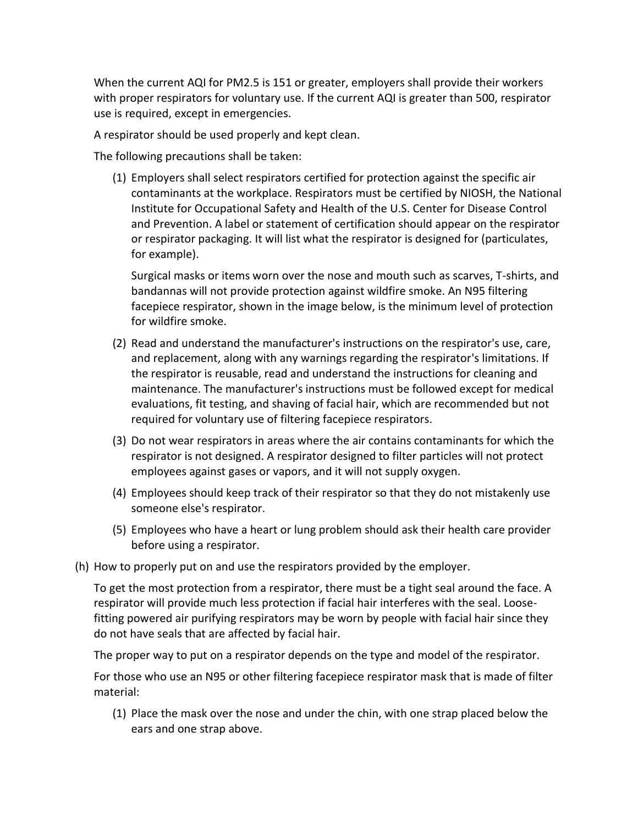When the current AQI for PM2.5 is 151 or greater, employers shall provide their workers with proper respirators for voluntary use. If the current AQI is greater than 500, respirator use is required, except in emergencies.

A respirator should be used properly and kept clean.

The following precautions shall be taken:

(1) Employers shall select respirators certified for protection against the specific air contaminants at the workplace. Respirators must be certified by NIOSH, the National Institute for Occupational Safety and Health of the U.S. Center for Disease Control and Prevention. A label or statement of certification should appear on the respirator or respirator packaging. It will list what the respirator is designed for (particulates, for example).

Surgical masks or items worn over the nose and mouth such as scarves, T-shirts, and bandannas will not provide protection against wildfire smoke. An N95 filtering facepiece respirator, shown in the image below, is the minimum level of protection for wildfire smoke.

- (2) Read and understand the manufacturer's instructions on the respirator's use, care, and replacement, along with any warnings regarding the respirator's limitations. If the respirator is reusable, read and understand the instructions for cleaning and maintenance. The manufacturer's instructions must be followed except for medical evaluations, fit testing, and shaving of facial hair, which are recommended but not required for voluntary use of filtering facepiece respirators.
- (3) Do not wear respirators in areas where the air contains contaminants for which the respirator is not designed. A respirator designed to filter particles will not protect employees against gases or vapors, and it will not supply oxygen.
- (4) Employees should keep track of their respirator so that they do not mistakenly use someone else's respirator.
- (5) Employees who have a heart or lung problem should ask their health care provider before using a respirator.
- (h) How to properly put on and use the respirators provided by the employer.

To get the most protection from a respirator, there must be a tight seal around the face. A respirator will provide much less protection if facial hair interferes with the seal. Loosefitting powered air purifying respirators may be worn by people with facial hair since they do not have seals that are affected by facial hair.

The proper way to put on a respirator depends on the type and model of the respirator.

For those who use an N95 or other filtering facepiece respirator mask that is made of filter material:

(1) Place the mask over the nose and under the chin, with one strap placed below the ears and one strap above.